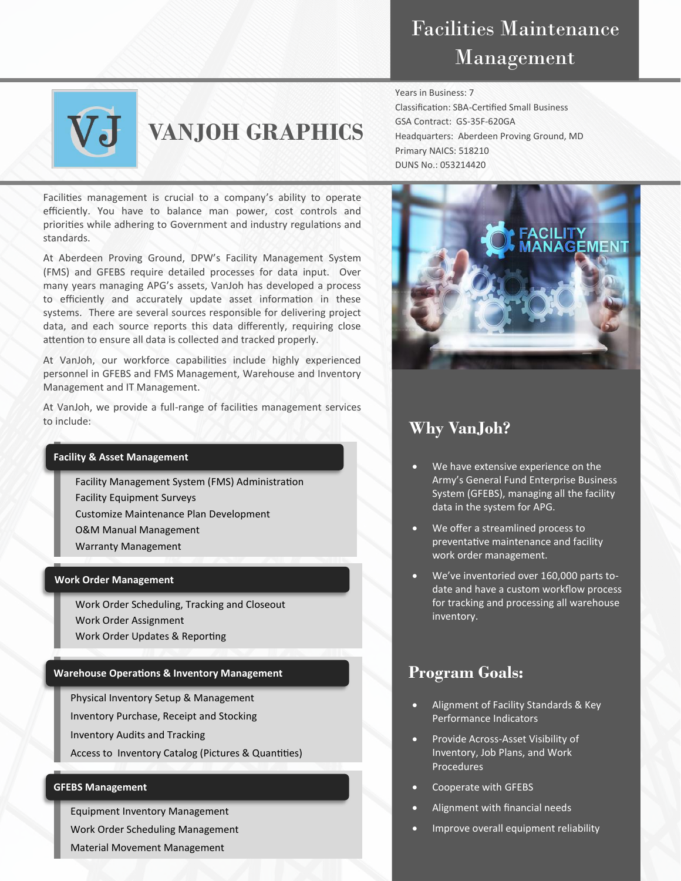# Facilities Maintenance Management

Classification: SBA-Certified Small Business

Headquarters: Aberdeen Proving Ground, MD

Years in Business: 7

GSA Contract: GS-35F-620GA

Primary NAICS: 518210 DUNS No.: 053214420



# **VANJOH GRAPHICS**

Facilities management is crucial to a company's ability to operate efficiently. You have to balance man power, cost controls and priorities while adhering to Government and industry regulations and standards.

At Aberdeen Proving Ground, DPW's Facility Management System (FMS) and GFEBS require detailed processes for data input. Over many years managing APG's assets, VanJoh has developed a process to efficiently and accurately update asset information in these systems. There are several sources responsible for delivering project data, and each source reports this data differently, requiring close attention to ensure all data is collected and tracked properly.

At VanJoh, our workforce capabilities include highly experienced personnel in GFEBS and FMS Management, Warehouse and Inventory Management and IT Management.

At VanJoh, we provide a full-range of facilities management services to include:

### **Facility & Asset Management**

Facility Management System (FMS) Administration Facility Equipment Surveys

Customize Maintenance Plan Development

O&M Manual Management

Warranty Management

#### **Work Order Management**

Work Order Scheduling, Tracking and Closeout Work Order Assignment Work Order Updates & Reporting

### **Warehouse Operations & Inventory Management**

Physical Inventory Setup & Management

Inventory Purchase, Receipt and Stocking

Inventory Audits and Tracking

Access to Inventory Catalog (Pictures & Quantities)

#### **GFEBS Management**

Equipment Inventory Management

Work Order Scheduling Management

Material Movement Management



## **Why VanJoh?**

- We have extensive experience on the Army's General Fund Enterprise Business System (GFEBS), managing all the facility data in the system for APG.
- We offer a streamlined process to preventative maintenance and facility work order management.
- We've inventoried over 160,000 parts todate and have a custom workflow process for tracking and processing all warehouse inventory.

## **Program Goals:**

- Alignment of Facility Standards & Key Performance Indicators
- Provide Across-Asset Visibility of Inventory, Job Plans, and Work Procedures
- Cooperate with GFEBS
- Alignment with financial needs
- Improve overall equipment reliability